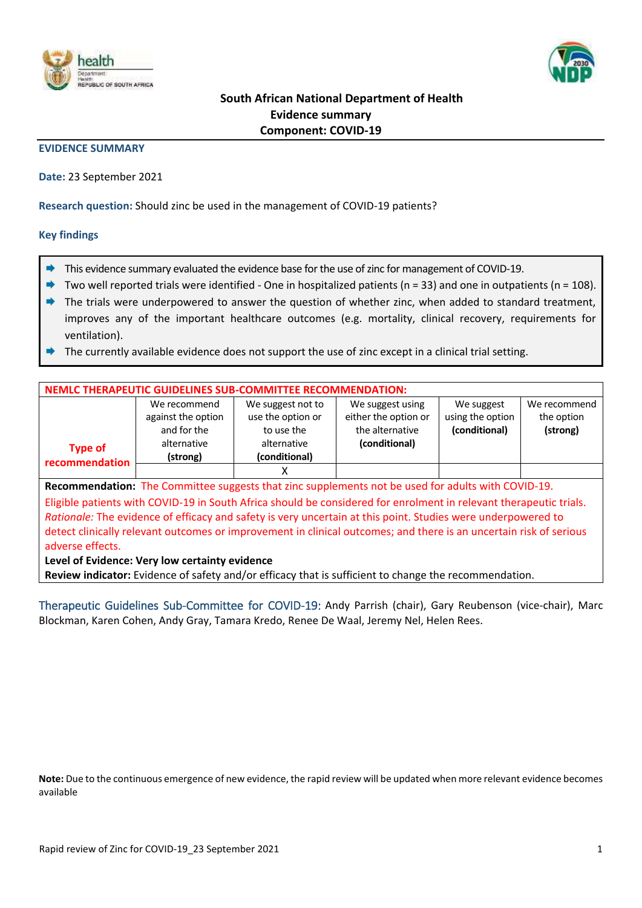



# **South African National Department of Health Evidence summary Component: COVID-19**

### **EVIDENCE SUMMARY**

**Date:** 23 September 2021

**Research question:** Should zinc be used in the management of COVID-19 patients?

### **Key findings**

- This evidence summary evaluated the evidence base for the use of zinc for management of COVID-19.
- Two well reported trials were identified One in hospitalized patients (n = 33) and one in outpatients (n = 108).
- $\rightarrow$  The trials were underpowered to answer the question of whether zinc, when added to standard treatment, improves any of the important healthcare outcomes (e.g. mortality, clinical recovery, requirements for ventilation).
- The currently available evidence does not support the use of zinc except in a clinical trial setting.

| <b>NEMLC THERAPEUTIC GUIDELINES SUB-COMMITTEE RECOMMENDATION:</b>                                                  |                    |                                           |                  |                  |              |  |  |  |
|--------------------------------------------------------------------------------------------------------------------|--------------------|-------------------------------------------|------------------|------------------|--------------|--|--|--|
|                                                                                                                    | We recommend       | We suggest not to                         | We suggest using | We suggest       | We recommend |  |  |  |
|                                                                                                                    | against the option | either the option or<br>use the option or |                  | using the option | the option   |  |  |  |
|                                                                                                                    | and for the        | to use the                                | the alternative  | (conditional)    | (strong)     |  |  |  |
| <b>Type of</b>                                                                                                     | alternative        | alternative                               | (conditional)    |                  |              |  |  |  |
| recommendation                                                                                                     | (strong)           | (conditional)                             |                  |                  |              |  |  |  |
|                                                                                                                    |                    | х                                         |                  |                  |              |  |  |  |
| Recommendation: The Committee suggests that zinc supplements not be used for adults with COVID-19.                 |                    |                                           |                  |                  |              |  |  |  |
| Eligible patients with COVID-19 in South Africa should be considered for enrolment in relevant therapeutic trials. |                    |                                           |                  |                  |              |  |  |  |
| Rationale: The evidence of efficacy and safety is very uncertain at this point. Studies were underpowered to       |                    |                                           |                  |                  |              |  |  |  |
| detect clinically relevant outcomes or improvement in clinical outcomes; and there is an uncertain risk of serious |                    |                                           |                  |                  |              |  |  |  |
| adverse effects.                                                                                                   |                    |                                           |                  |                  |              |  |  |  |
| Level of Evidence: Very low certainty evidence                                                                     |                    |                                           |                  |                  |              |  |  |  |
| Review indicator: Evidence of safety and/or efficacy that is sufficient to change the recommendation.              |                    |                                           |                  |                  |              |  |  |  |

Therapeutic Guidelines Sub-Committee for COVID-19: Andy Parrish (chair), Gary Reubenson (vice-chair), Marc Blockman, Karen Cohen, Andy Gray, Tamara Kredo, Renee De Waal, Jeremy Nel, Helen Rees.

**Note:** Due to the continuous emergence of new evidence, the rapid review will be updated when more relevant evidence becomes available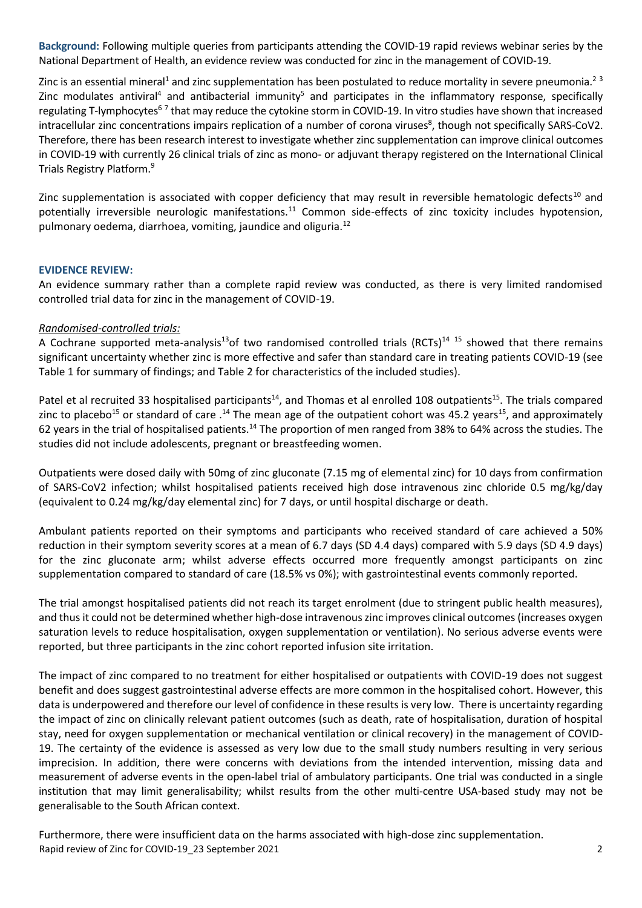**Background:** Following multiple queries from participants attending the COVID-19 rapid reviews webinar series by the National Department of Health, an evidence review was conducted for zinc in the management of COVID-19.

Zinc is an essential mineral<sup>1</sup> and zinc supplementation has been postulated to reduce mortality in severe pneumonia.<sup>23</sup> Zinc modulates antiviral<sup>4</sup> and antibacterial immunity<sup>5</sup> and participates in the inflammatory response, specifically regulating T-lymphocytes<sup>67</sup> that may reduce the cytokine storm in COVID-19. In vitro studies have shown that increased intracellular zinc concentrations impairs replication of a number of corona viruses<sup>8</sup>, though not specifically SARS-CoV2. Therefore, there has been research interest to investigate whether zinc supplementation can improve clinical outcomes in COVID-19 with currently 26 clinical trials of zinc as mono- or adjuvant therapy registered on the International Clinical Trials Registry Platform.<sup>9</sup>

Zinc supplementation is associated with copper deficiency that may result in reversible hematologic defects<sup>10</sup> and potentially irreversible neurologic manifestations.<sup>11</sup> Common side-effects of zinc toxicity includes hypotension, pulmonary oedema, diarrhoea, vomiting, jaundice and oliguria.<sup>12</sup>

## **EVIDENCE REVIEW:**

An evidence summary rather than a complete rapid review was conducted, as there is very limited randomised controlled trial data for zinc in the management of COVID-19.

## *Randomised-controlled trials:*

A Cochrane supported meta-analysis<sup>13</sup>of two randomised controlled trials (RCTs)<sup>14 15</sup> showed that there remains significant uncertainty whether zinc is more effective and safer than standard care in treating patients COVID-19 (see Table 1 for summary of findings; and Table 2 for characteristics of the included studies).

Patel et al recruited 33 hospitalised participants<sup>14</sup>, and Thomas et al enrolled 108 outpatients<sup>15</sup>. The trials compared zinc to placebo<sup>15</sup> or standard of care .<sup>14</sup> The mean age of the outpatient cohort was 45.2 years<sup>15</sup>, and approximately 62 years in the trial of hospitalised patients.<sup>14</sup> The proportion of men ranged from 38% to 64% across the studies. The studies did not include adolescents, pregnant or breastfeeding women.

Outpatients were dosed daily with 50mg of zinc gluconate (7.15 mg of elemental zinc) for 10 days from confirmation of SARS-CoV2 infection; whilst hospitalised patients received high dose intravenous zinc chloride 0.5 mg/kg/day (equivalent to 0.24 mg/kg/day elemental zinc) for 7 days, or until hospital discharge or death.

Ambulant patients reported on their symptoms and participants who received standard of care achieved a 50% reduction in their symptom severity scores at a mean of 6.7 days (SD 4.4 days) compared with 5.9 days (SD 4.9 days) for the zinc gluconate arm; whilst adverse effects occurred more frequently amongst participants on zinc supplementation compared to standard of care (18.5% vs 0%); with gastrointestinal events commonly reported.

The trial amongst hospitalised patients did not reach its target enrolment (due to stringent public health measures), and thus it could not be determined whether high-dose intravenous zinc improves clinical outcomes (increases oxygen saturation levels to reduce hospitalisation, oxygen supplementation or ventilation). No serious adverse events were reported, but three participants in the zinc cohort reported infusion site irritation.

The impact of zinc compared to no treatment for either hospitalised or outpatients with COVID-19 does not suggest benefit and does suggest gastrointestinal adverse effects are more common in the hospitalised cohort. However, this data is underpowered and therefore our level of confidence in these results is very low. There is uncertainty regarding the impact of zinc on clinically relevant patient outcomes (such as death, rate of hospitalisation, duration of hospital stay, need for oxygen supplementation or mechanical ventilation or clinical recovery) in the management of COVID-19. The certainty of the evidence is assessed as very low due to the small study numbers resulting in very serious imprecision. In addition, there were concerns with deviations from the intended intervention, missing data and measurement of adverse events in the open-label trial of ambulatory participants. One trial was conducted in a single institution that may limit generalisability; whilst results from the other multi-centre USA-based study may not be generalisable to the South African context.

Rapid review of Zinc for COVID-19 23 September 2021 2001 Furthermore, there were insufficient data on the harms associated with high-dose zinc supplementation.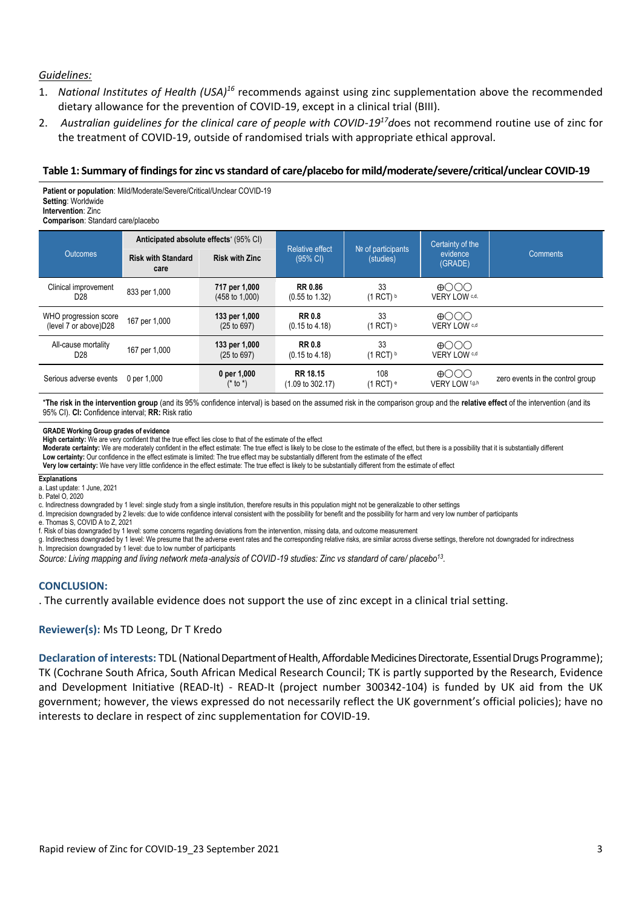### *Guidelines:*

- 1. National Institutes of Health (USA)<sup>16</sup> recommends against using zinc supplementation above the recommended dietary allowance for the prevention of COVID-19, except in a clinical trial (BIII).
- 2. *Australian guidelines for the clinical care of people with COVID-19<sup>17</sup>d*oes not recommend routine use of zinc for the treatment of COVID-19, outside of randomised trials with appropriate ethical approval.

## **Table 1: Summary of findings for zinc vsstandard of care/placebo for mild/moderate/severe/critical/unclear COVID-19**

**Patient or population**: Mild/Moderate/Severe/Critical/Unclear COVID-19 **Setting**: Worldwide **Intervention**: Zinc **Comparison**: Standard care/placebo

|                                                 | Anticipated absolute effects' (95% CI) |                                            | <b>Relative effect</b>                      | $N2$ of participants | Certainty of the              |                                  |
|-------------------------------------------------|----------------------------------------|--------------------------------------------|---------------------------------------------|----------------------|-------------------------------|----------------------------------|
| <b>Outcomes</b>                                 | <b>Risk with Standard</b><br>care      | <b>Risk with Zinc</b>                      | $(95% \text{ Cl})$                          | (studies)            | evidence<br>(GRADE)           | <b>Comments</b>                  |
| Clinical improvement<br>D <sub>28</sub>         | 833 per 1,000                          | 717 per 1,000<br>$(458 \text{ to } 1,000)$ | <b>RR 0.86</b><br>$(0.55 \text{ to } 1.32)$ | 33<br>$(1$ RCT) $b$  | $\bigoplus$<br>VERY LOW C,d,  |                                  |
| WHO progression score<br>(level 7 or above) D28 | 167 per 1,000                          | 133 per 1,000<br>(25 to 697)               | <b>RR 0.8</b><br>$(0.15 \text{ to } 4.18)$  | 33<br>$(1$ RCT) $b$  | കുററ<br>VERY LOW c,d          |                                  |
| All-cause mortality<br>D <sub>28</sub>          | 167 per 1,000                          | 133 per 1,000<br>(25 to 697)               | <b>RR0.8</b><br>$(0.15 \text{ to } 4.18)$   | 33<br>$(1$ RCT) $b$  | കുററ<br>VERY LOW c,d          |                                  |
| Serious adverse events                          | 0 per 1.000                            | 0 per 1,000<br>$(* to *)$                  | RR 18 15<br>$(1.09 \text{ to } 302.17)$     | 108<br>$(1$ RCT) $e$ | $\bigoplus$<br>VERY LOW f.g.h | zero events in the control group |

\***The risk in the intervention group** (and its 95% confidence interval) is based on the assumed risk in the comparison group and the **relative effect** of the intervention (and its 95% CI). **CI:** Confidence interval; **RR:** Risk ratio

#### **GRADE Working Group grades of evidence**

**High certainty:** We are very confident that the true effect lies close to that of the estimate of the effect

Moderate certainty: We are moderately confident in the effect estimate: The true effect is likely to be close to the estimate of the effect, but there is a possibility that it is substantially different

**Low certainty:** Our confidence in the effect estimate is limited: The true effect may be substantially different from the estimate of the effect

**Very low certainty:** We have very little confidence in the effect estimate: The true effect is likely to be substantially different from the estimate of effect

#### **Explanations**

- a. Last update: 1 June, 2021
- b. Patel O, 2020

c. Indirectness downgraded by 1 level: single study from a single institution, therefore results in this population might not be generalizable to other settings

d. Imprecision downgraded by 2 levels: due to wide confidence interval consistent with the possibility for benefit and the possibility for harm and very low number of participants

e. Thomas S, COVID A to Z, 2021

f. Risk of bias downgraded by 1 level: some concerns regarding deviations from the intervention, missing data, and outcome measurement

g. Indirectness downgraded by 1 level: We presume that the adverse event rates and the corresponding relative risks, are similar across diverse settings, therefore not downgraded for indirectness h. Imprecision downgraded by 1 level: due to low number of participants

*Source: Living mapping and living network meta*‐*analysis of COVID*‐*19 studies: Zinc vs standard of care/ placebo<sup>13</sup> .*

### **CONCLUSION:**

. The currently available evidence does not support the use of zinc except in a clinical trial setting.

### **Reviewer(s):** Ms TD Leong, Dr T Kredo

**Declaration of interests:** TDL (National Department of Health, Affordable Medicines Directorate, Essential Drugs Programme); TK (Cochrane South Africa, South African Medical Research Council; TK is partly supported by the Research, Evidence and Development Initiative (READ-It) - READ-It (project number 300342-104) is funded by UK aid from the UK government; however, the views expressed do not necessarily reflect the UK government's official policies); have no interests to declare in respect of zinc supplementation for COVID-19.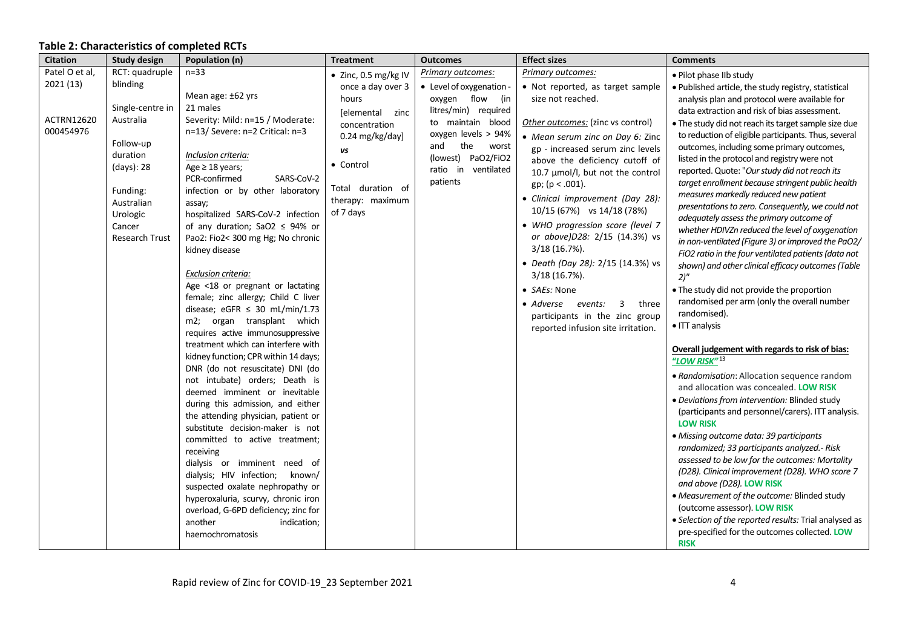# **Table 2: Characteristics of completed RCTs**

| <b>Citation</b>             | <b>Study design</b>                                                                                                                           | Population (n)                                                                                                                                                                                                                                                                                                                                                                                                                                                                                                                                                                                                                                                                                                                                                                                                                                                                                                                                                                                                                                                                                                                                     | <b>Treatment</b>                                                                                                             | <b>Outcomes</b>                                                                                                                                  | <b>Effect sizes</b>                                                                                                                                                                                                                                                                                                                                                                                                                                                                                                                                                       | <b>Comments</b>                                                                                                                                                                                                                                                                                                                                                                                                                                                                                                                                                                                                                                                                                                                                                                                                                                                                                                                                                                                                                                                                                                                                                                                                                                                                                                                                                                                                                                                                                                                                                                                                |
|-----------------------------|-----------------------------------------------------------------------------------------------------------------------------------------------|----------------------------------------------------------------------------------------------------------------------------------------------------------------------------------------------------------------------------------------------------------------------------------------------------------------------------------------------------------------------------------------------------------------------------------------------------------------------------------------------------------------------------------------------------------------------------------------------------------------------------------------------------------------------------------------------------------------------------------------------------------------------------------------------------------------------------------------------------------------------------------------------------------------------------------------------------------------------------------------------------------------------------------------------------------------------------------------------------------------------------------------------------|------------------------------------------------------------------------------------------------------------------------------|--------------------------------------------------------------------------------------------------------------------------------------------------|---------------------------------------------------------------------------------------------------------------------------------------------------------------------------------------------------------------------------------------------------------------------------------------------------------------------------------------------------------------------------------------------------------------------------------------------------------------------------------------------------------------------------------------------------------------------------|----------------------------------------------------------------------------------------------------------------------------------------------------------------------------------------------------------------------------------------------------------------------------------------------------------------------------------------------------------------------------------------------------------------------------------------------------------------------------------------------------------------------------------------------------------------------------------------------------------------------------------------------------------------------------------------------------------------------------------------------------------------------------------------------------------------------------------------------------------------------------------------------------------------------------------------------------------------------------------------------------------------------------------------------------------------------------------------------------------------------------------------------------------------------------------------------------------------------------------------------------------------------------------------------------------------------------------------------------------------------------------------------------------------------------------------------------------------------------------------------------------------------------------------------------------------------------------------------------------------|
| Patel O et al,<br>2021 (13) | RCT: quadruple<br>blinding                                                                                                                    | $n=33$<br>Mean age: ±62 yrs                                                                                                                                                                                                                                                                                                                                                                                                                                                                                                                                                                                                                                                                                                                                                                                                                                                                                                                                                                                                                                                                                                                        | · Zinc, 0.5 mg/kg IV<br>once a day over 3<br>hours                                                                           | Primary outcomes:<br>• Level of oxygenation -<br>oxygen flow (in                                                                                 | Primary outcomes:<br>• Not reported, as target sample<br>size not reached.                                                                                                                                                                                                                                                                                                                                                                                                                                                                                                | • Pilot phase IIb study<br>· Published article, the study registry, statistical<br>analysis plan and protocol were available for                                                                                                                                                                                                                                                                                                                                                                                                                                                                                                                                                                                                                                                                                                                                                                                                                                                                                                                                                                                                                                                                                                                                                                                                                                                                                                                                                                                                                                                                               |
| ACTRN12620<br>000454976     | Single-centre in<br>Australia<br>Follow-up<br>duration<br>(days): 28<br>Funding:<br>Australian<br>Urologic<br>Cancer<br><b>Research Trust</b> | 21 males<br>Severity: Mild: n=15 / Moderate:<br>n=13/ Severe: n=2 Critical: n=3<br>Inclusion criteria:<br>Age $\geq$ 18 years;<br>PCR-confirmed<br>SARS-CoV-2<br>infection or by other laboratory<br>assay;<br>hospitalized SARS-CoV-2 infection<br>of any duration; SaO2 $\leq$ 94% or<br>Pao2: Fio2< 300 mg Hg; No chronic<br>kidney disease<br>Exclusion criteria:<br>Age <18 or pregnant or lactating<br>female; zinc allergy; Child C liver<br>disease; eGFR $\leq$ 30 mL/min/1.73<br>m2; organ transplant which<br>requires active immunosuppressive<br>treatment which can interfere with<br>kidney function; CPR within 14 days;<br>DNR (do not resuscitate) DNI (do<br>not intubate) orders; Death is<br>deemed imminent or inevitable<br>during this admission, and either<br>the attending physician, patient or<br>substitute decision-maker is not<br>committed to active treatment;<br>receiving<br>dialysis or imminent need of<br>dialysis; HIV infection; known/<br>suspected oxalate nephropathy or<br>hyperoxaluria, scurvy, chronic iron<br>overload, G-6PD deficiency; zinc for<br>another<br>indication;<br>haemochromatosis | [elemental zinc<br>concentration<br>0.24 mg/kg/day]<br>vs<br>• Control<br>Total duration of<br>therapy: maximum<br>of 7 days | litres/min) required<br>to maintain blood<br>oxygen levels > 94%<br>the<br>and<br>worst<br>(lowest) PaO2/FiO2<br>ratio in ventilated<br>patients | Other outcomes: (zinc vs control)<br>• Mean serum zinc on Day 6: Zinc<br>gp - increased serum zinc levels<br>above the deficiency cutoff of<br>10.7 μmol/l, but not the control<br>$gp$ ; (p < .001).<br>• Clinical improvement (Day 28):<br>10/15 (67%) vs 14/18 (78%)<br>• WHO progression score (level 7<br>or above) D28: 2/15 (14.3%) vs<br>$3/18$ (16.7%).<br>• Death (Day 28): 2/15 (14.3%) vs<br>$3/18(16.7\%).$<br>• SAEs: None<br>$\overline{\mathbf{3}}$<br>• Adverse events:<br>three<br>participants in the zinc group<br>reported infusion site irritation. | data extraction and risk of bias assessment.<br>. The study did not reach its target sample size due<br>to reduction of eligible participants. Thus, several<br>outcomes, including some primary outcomes,<br>listed in the protocol and registry were not<br>reported. Quote: "Our study did not reach its<br>target enrollment because stringent public health<br>measures markedly reduced new patient<br>presentations to zero. Consequently, we could not<br>adequately assess the primary outcome of<br>whether HDIVZn reduced the level of oxygenation<br>in non-ventilated (Figure 3) or improved the PaO2/<br>FiO2 ratio in the four ventilated patients (data not<br>shown) and other clinical efficacy outcomes (Table<br>2)''<br>• The study did not provide the proportion<br>randomised per arm (only the overall number<br>randomised).<br>• ITT analysis<br>Overall judgement with regards to risk of bias:<br>"LOW RISK" <sup>13</sup><br>• Randomisation: Allocation sequence random<br>and allocation was concealed. LOW RISK<br>· Deviations from intervention: Blinded study<br>(participants and personnel/carers). ITT analysis.<br><b>LOW RISK</b><br>· Missing outcome data: 39 participants<br>randomized; 33 participants analyzed.- Risk<br>assessed to be low for the outcomes: Mortality<br>(D28). Clinical improvement (D28). WHO score 7<br>and above (D28). LOW RISK<br>• Measurement of the outcome: Blinded study<br>(outcome assessor). LOW RISK<br>• Selection of the reported results: Trial analysed as<br>pre-specified for the outcomes collected. LOW<br><b>RISK</b> |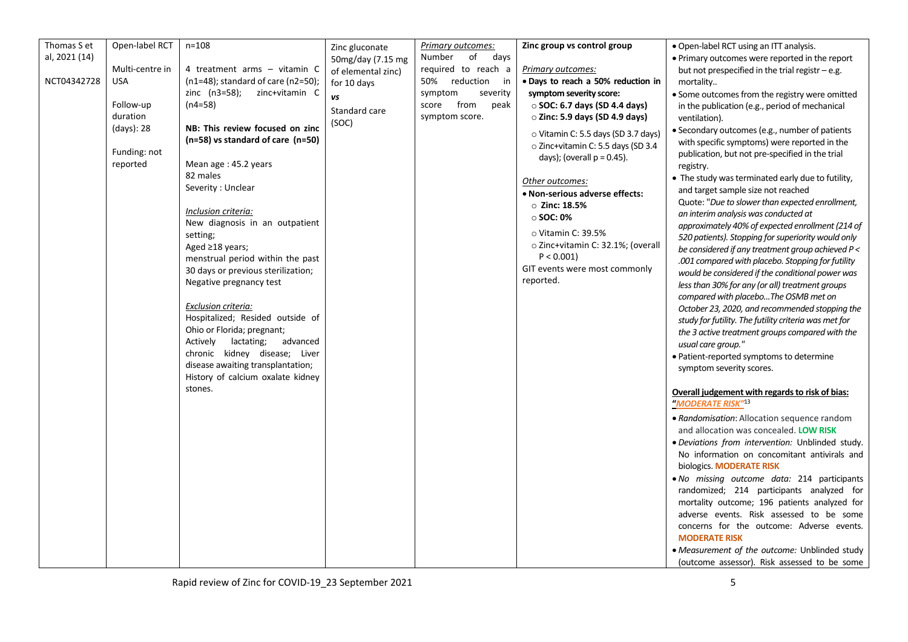| Thomas S et   | Open-label RCT  | $n = 108$                          | Zinc gluconate     | Primary outcomes:    | Zinc group vs control group          | • Open-label RCT using an ITT analysis.               |
|---------------|-----------------|------------------------------------|--------------------|----------------------|--------------------------------------|-------------------------------------------------------|
| al, 2021 (14) |                 |                                    | 50mg/day (7.15 mg  | of<br>Number<br>days |                                      | • Primary outcomes were reported in the report        |
|               | Multi-centre in | 4 treatment arms - vitamin C       | of elemental zinc) | required to reach a  | Primary outcomes:                    | but not prespecified in the trial registr - e.g.      |
| NCT04342728   | <b>USA</b>      | (n1=48); standard of care (n2=50); |                    | 50% reduction<br>in  | · Days to reach a 50% reduction in   |                                                       |
|               |                 |                                    | for 10 days        |                      |                                      | mortality                                             |
|               |                 | $zinc$ (n3=58);<br>zinc+vitamin C  | vs                 | symptom<br>severity  | symptom severity score:              | • Some outcomes from the registry were omitted        |
|               | Follow-up       | (n4=58)                            | Standard care      | score from<br>peak   | $\circ$ SOC: 6.7 days (SD 4.4 days)  | in the publication (e.g., period of mechanical        |
|               | duration        |                                    |                    | symptom score.       | $\circ$ Zinc: 5.9 days (SD 4.9 days) | ventilation).                                         |
|               | (days): 28      | NB: This review focused on zinc    | (SOC)              |                      |                                      | · Secondary outcomes (e.g., number of patients        |
|               |                 | (n=58) vs standard of care (n=50)  |                    |                      | ○ Vitamin C: 5.5 days (SD 3.7 days)  | with specific symptoms) were reported in the          |
|               | Funding: not    |                                    |                    |                      | o Zinc+vitamin C: 5.5 days (SD 3.4   |                                                       |
|               |                 |                                    |                    |                      | days); (overall $p = 0.45$ ).        | publication, but not pre-specified in the trial       |
|               | reported        | Mean age: 45.2 years               |                    |                      |                                      | registry.                                             |
|               |                 | 82 males                           |                    |                      | Other outcomes:                      | • The study was terminated early due to futility,     |
|               |                 | Severity: Unclear                  |                    |                      | • Non-serious adverse effects:       | and target sample size not reached                    |
|               |                 |                                    |                    |                      | $\circ$ Zinc: 18.5%                  | Quote: "Due to slower than expected enrollment,       |
|               |                 | Inclusion criteria:                |                    |                      |                                      | an interim analysis was conducted at                  |
|               |                 | New diagnosis in an outpatient     |                    |                      | $\circ$ SOC: 0%                      | approximately 40% of expected enrollment (214 of      |
|               |                 | setting;                           |                    |                      | $\circ$ Vitamin C: 39.5%             |                                                       |
|               |                 | Aged ≥18 years;                    |                    |                      | o Zinc+vitamin C: 32.1%; (overall    | 520 patients). Stopping for superiority would only    |
|               |                 |                                    |                    |                      | P < 0.001                            | be considered if any treatment group achieved P <     |
|               |                 | menstrual period within the past   |                    |                      |                                      | .001 compared with placebo. Stopping for futility     |
|               |                 | 30 days or previous sterilization; |                    |                      | GIT events were most commonly        | would be considered if the conditional power was      |
|               |                 | Negative pregnancy test            |                    |                      | reported.                            | less than 30% for any (or all) treatment groups       |
|               |                 |                                    |                    |                      |                                      | compared with placeboThe OSMB met on                  |
|               |                 | Exclusion criteria:                |                    |                      |                                      | October 23, 2020, and recommended stopping the        |
|               |                 | Hospitalized; Resided outside of   |                    |                      |                                      |                                                       |
|               |                 | Ohio or Florida; pregnant;         |                    |                      |                                      | study for futility. The futility criteria was met for |
|               |                 |                                    |                    |                      |                                      | the 3 active treatment groups compared with the       |
|               |                 | lactating;<br>advanced<br>Actively |                    |                      |                                      | usual care group."                                    |
|               |                 | chronic kidney disease; Liver      |                    |                      |                                      | · Patient-reported symptoms to determine              |
|               |                 | disease awaiting transplantation;  |                    |                      |                                      | symptom severity scores.                              |
|               |                 | History of calcium oxalate kidney  |                    |                      |                                      |                                                       |
|               |                 | stones.                            |                    |                      |                                      | Overall judgement with regards to risk of bias:       |
|               |                 |                                    |                    |                      |                                      |                                                       |
|               |                 |                                    |                    |                      |                                      | "MODERATE RISK" <sup>13</sup>                         |
|               |                 |                                    |                    |                      |                                      | • Randomisation: Allocation sequence random           |
|               |                 |                                    |                    |                      |                                      | and allocation was concealed. LOW RISK                |
|               |                 |                                    |                    |                      |                                      | · Deviations from intervention: Unblinded study.      |
|               |                 |                                    |                    |                      |                                      | No information on concomitant antivirals and          |
|               |                 |                                    |                    |                      |                                      |                                                       |
|               |                 |                                    |                    |                      |                                      | biologics. MODERATE RISK                              |
|               |                 |                                    |                    |                      |                                      | . No missing outcome data: 214 participants           |
|               |                 |                                    |                    |                      |                                      | randomized; 214 participants analyzed for             |
|               |                 |                                    |                    |                      |                                      | mortality outcome; 196 patients analyzed for          |
|               |                 |                                    |                    |                      |                                      | adverse events. Risk assessed to be some              |
|               |                 |                                    |                    |                      |                                      | concerns for the outcome: Adverse events.             |
|               |                 |                                    |                    |                      |                                      |                                                       |
|               |                 |                                    |                    |                      |                                      | <b>MODERATE RISK</b>                                  |
|               |                 |                                    |                    |                      |                                      | • Measurement of the outcome: Unblinded study         |
|               |                 |                                    |                    |                      |                                      | (outcome assessor). Risk assessed to be some          |